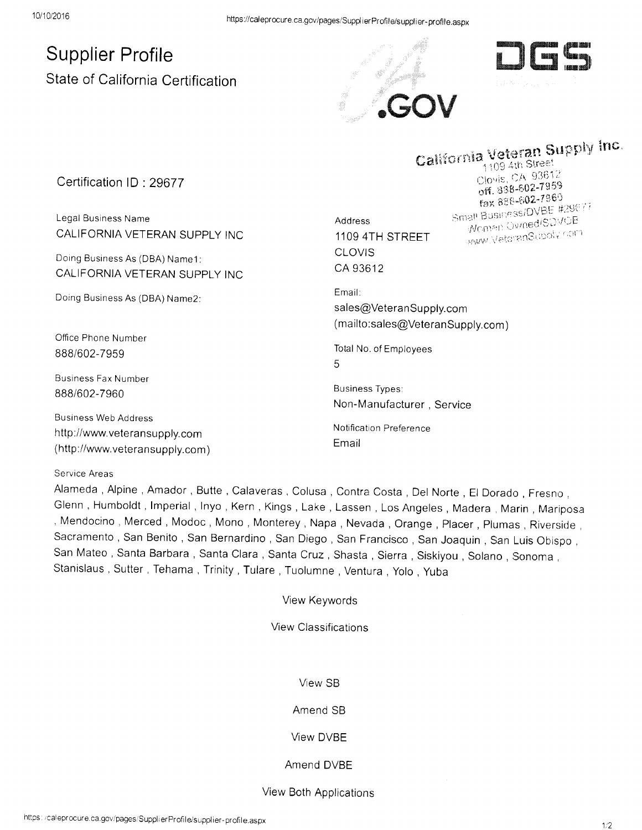# Supplier Profile State of California Certification





# California  $\mathop{\mathsf{inc}}$

Certification lD : 29677

Legal Business Name CALIFORNIA VETERAN SUPPLY INC

Doing Business As (DBA) Namel: CALIFORNIA VETERAN SUPPLY INC

Doing Business As (DBA) Name2:

Office Phone Number BB8/602-7959

Business Fax Number 8BBi602-7960

Business Web Address http://www.veteransupply.com ( http ://www.veteransu pply.com )

#### Service Areas

Alameda, Alpine, Amador, Butte, Calaveras, Colusa, Contra Costa, Del Norte, El Dorado, Fresno, Glenn, Humboldt, Imperial, Inyo, Kern, Kings, Lake, Lassen, Los Angeles, Madera, Marin, Mariposa , Mendocino, Merced, Modoc, Mono, Monterey, Napa, Nevada, Orange, Placer, Plumas, Riverside, Sacramento , San Benito , San Bernardino , San Diego , San Francisco , San Joaquin , San Luis Obispo , San Mateo, Santa Barbara, Santa Clara, Santa Cruz, Shasta, Sierra, Siskiyou, Solano, Sonoma, Stanislaus , Sutter , Tehama , Trinity , Tulare , Tuolumne , Ventura , Yolo , Yuba

View Keywords

View Classifications

View SB

## Amend SB

#### View DVBE

### Amend DVBE

#### View Both Applications

Address; 1109 4TH STREET CLOVIS CA 93612

Clovis, UA 227959 Pax 888-602-7969 **Fax 888-602-1505**<br>Small Business/DVBE #29677 **Momen Owned SDVOB** Women Centros Engineer

Email: sales@VeteranSupply.com (mailto:sales@VeteranSupply.com)

Total No. of Employees  $\overline{5}$ 

Business Types: Non-Manufacturer, Service

Notification Preference Email